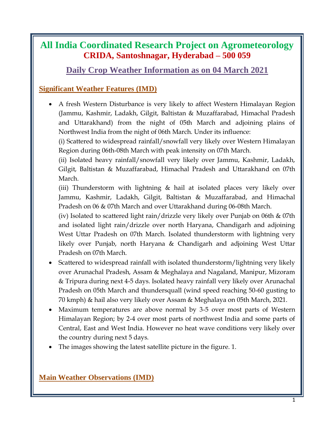# **All India Coordinated Research Project on Agrometeorology CRIDA, Santoshnagar, Hyderabad – 500 059**

# **Daily Crop Weather Information as on 04 March 2021**

# **Significant Weather Features (IMD)**

 A fresh Western Disturbance is very likely to affect Western Himalayan Region (Jammu, Kashmir, Ladakh, Gilgit, Baltistan & Muzaffarabad, Himachal Pradesh and Uttarakhand) from the night of 05th March and adjoining plains of Northwest India from the night of 06th March. Under its influence:

(i) Scattered to widespread rainfall/snowfall very likely over Western Himalayan Region during 06th-08th March with peak intensity on 07th March.

(ii) Isolated heavy rainfall/snowfall very likely over Jammu, Kashmir, Ladakh, Gilgit, Baltistan & Muzaffarabad, Himachal Pradesh and Uttarakhand on 07th March.

(iii) Thunderstorm with lightning  $\&$  hail at isolated places very likely over Jammu, Kashmir, Ladakh, Gilgit, Baltistan & Muzaffarabad, and Himachal Pradesh on 06 & 07th March and over Uttarakhand during 06-08th March.

(iv) Isolated to scattered light rain/drizzle very likely over Punjab on 06th & 07th and isolated light rain/drizzle over north Haryana, Chandigarh and adjoining West Uttar Pradesh on 07th March. Isolated thunderstorm with lightning very likely over Punjab, north Haryana & Chandigarh and adjoining West Uttar Pradesh on 07th March.

- Scattered to widespread rainfall with isolated thunderstorm/lightning very likely over Arunachal Pradesh, Assam & Meghalaya and Nagaland, Manipur, Mizoram & Tripura during next 4-5 days. Isolated heavy rainfall very likely over Arunachal Pradesh on 05th March and thundersquall (wind speed reaching 50-60 gusting to 70 kmph) & hail also very likely over Assam & Meghalaya on 05th March, 2021.
- Maximum temperatures are above normal by 3-5 over most parts of Western Himalayan Region; by 2-4 over most parts of northwest India and some parts of Central, East and West India. However no heat wave conditions very likely over the country during next 5 days.
- The images showing the latest satellite picture in the figure. 1.

## **Main Weather Observations (IMD)**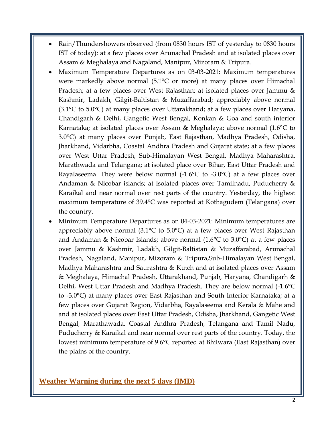- Rain/Thundershowers observed (from 0830 hours IST of yesterday to 0830 hours IST of today): at a few places over Arunachal Pradesh and at isolated places over Assam & Meghalaya and Nagaland, Manipur, Mizoram & Tripura.
- Maximum Temperature Departures as on 03-03-2021: Maximum temperatures were markedly above normal (5.1°C or more) at many places over Himachal Pradesh; at a few places over West Rajasthan; at isolated places over Jammu & Kashmir, Ladakh, Gilgit-Baltistan & Muzaffarabad; appreciably above normal (3.1°C to 5.0°C) at many places over Uttarakhand; at a few places over Haryana, Chandigarh & Delhi, Gangetic West Bengal, Konkan & Goa and south interior Karnataka; at isolated places over Assam & Meghalaya; above normal (1.6°C to 3.0°C) at many places over Punjab, East Rajasthan, Madhya Pradesh, Odisha, Jharkhand, Vidarbha, Coastal Andhra Pradesh and Gujarat state; at a few places over West Uttar Pradesh, Sub-Himalayan West Bengal, Madhya Maharashtra, Marathwada and Telangana; at isolated place over Bihar, East Uttar Pradesh and Rayalaseema. They were below normal  $(-1.6^{\circ}\text{C})$  to  $-3.0^{\circ}\text{C}$  at a few places over Andaman & Nicobar islands; at isolated places over Tamilnadu, Puducherry & Karaikal and near normal over rest parts of the country. Yesterday, the highest maximum temperature of 39.4°C was reported at Kothagudem (Telangana) over the country.
- Minimum Temperature Departures as on 04-03-2021: Minimum temperatures are appreciably above normal (3.1°C to 5.0°C) at a few places over West Rajasthan and Andaman & Nicobar Islands; above normal (1.6°C to 3.0°C) at a few places over Jammu & Kashmir, Ladakh, Gilgit-Baltistan & Muzaffarabad, Arunachal Pradesh, Nagaland, Manipur, Mizoram & Tripura,Sub-Himalayan West Bengal, Madhya Maharashtra and Saurashtra & Kutch and at isolated places over Assam & Meghalaya, Himachal Pradesh, Uttarakhand, Punjab, Haryana, Chandigarh & Delhi, West Uttar Pradesh and Madhya Pradesh. They are below normal (-1.6°C to -3.0°C) at many places over East Rajasthan and South Interior Karnataka; at a few places over Gujarat Region, Vidarbha, Rayalaseema and Kerala & Mahe and and at isolated places over East Uttar Pradesh, Odisha, Jharkhand, Gangetic West Bengal, Marathawada, Coastal Andhra Pradesh, Telangana and Tamil Nadu, Puducherry & Karaikal and near normal over rest parts of the country. Today, the lowest minimum temperature of 9.6°C reported at Bhilwara (East Rajasthan) over the plains of the country.

#### **Weather Warning during the next 5 days (IMD)**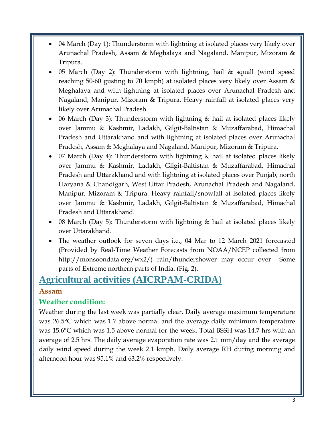- 04 March (Day 1): Thunderstorm with lightning at isolated places very likely over Arunachal Pradesh, Assam & Meghalaya and Nagaland, Manipur, Mizoram & Tripura.
- 05 March (Day 2): Thunderstorm with lightning, hail  $\&$  squall (wind speed reaching 50-60 gusting to 70 kmph) at isolated places very likely over Assam & Meghalaya and with lightning at isolated places over Arunachal Pradesh and Nagaland, Manipur, Mizoram & Tripura. Heavy rainfall at isolated places very likely over Arunachal Pradesh.
- 06 March (Day 3): Thunderstorm with lightning & hail at isolated places likely over Jammu & Kashmir, Ladakh, Gilgit-Baltistan & Muzaffarabad, Himachal Pradesh and Uttarakhand and with lightning at isolated places over Arunachal Pradesh, Assam & Meghalaya and Nagaland, Manipur, Mizoram & Tripura.
- 07 March (Day 4): Thunderstorm with lightning & hail at isolated places likely over Jammu & Kashmir, Ladakh, Gilgit-Baltistan & Muzaffarabad, Himachal Pradesh and Uttarakhand and with lightning at isolated places over Punjab, north Haryana & Chandigarh, West Uttar Pradesh, Arunachal Pradesh and Nagaland, Manipur, Mizoram & Tripura. Heavy rainfall/snowfall at isolated places likely over Jammu & Kashmir, Ladakh, Gilgit-Baltistan & Muzaffarabad, Himachal Pradesh and Uttarakhand.
- 08 March (Day 5): Thunderstorm with lightning & hail at isolated places likely over Uttarakhand.
- The weather outlook for seven days i.e., 04 Mar to 12 March 2021 forecasted (Provided by Real-Time Weather Forecasts from NOAA/NCEP collected from http://monsoondata.org/wx2/) rain/thundershower may occur over Some parts of Extreme northern parts of India. (Fig. 2).

# **Agricultural activities (AICRPAM-CRIDA)**

### **Assam**

## **Weather condition:**

Weather during the last week was partially clear. Daily average maximum temperature was 26.5°C which was 1.7 above normal and the average daily minimum temperature was 15.6°C which was 1.5 above normal for the week. Total BSSH was 14.7 hrs with an average of 2.5 hrs. The daily average evaporation rate was 2.1 mm/day and the average daily wind speed during the week 2.1 kmph. Daily average RH during morning and afternoon hour was 95.1% and 63.2% respectively.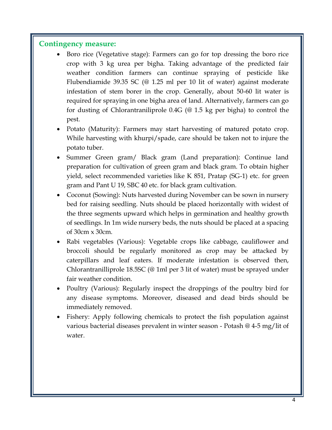#### **Contingency measure:**

- Boro rice (Vegetative stage): Farmers can go for top dressing the boro rice crop with 3 kg urea per bigha. Taking advantage of the predicted fair weather condition farmers can continue spraying of pesticide like Flubendiamide 39.35 SC (@ 1.25 ml per 10 lit of water) against moderate infestation of stem borer in the crop. Generally, about 50-60 lit water is required for spraying in one bigha area of land. Alternatively, farmers can go for dusting of Chlorantraniliprole 0.4G (@ 1.5 kg per bigha) to control the pest.
- Potato (Maturity): Farmers may start harvesting of matured potato crop. While harvesting with khurpi/spade, care should be taken not to injure the potato tuber.
- Summer Green gram/ Black gram (Land preparation): Continue land preparation for cultivation of green gram and black gram. To obtain higher yield, select recommended varieties like K 851, Pratap (SG-1) etc. for green gram and Pant U 19, SBC 40 etc. for black gram cultivation.
- Coconut (Sowing): Nuts harvested during November can be sown in nursery bed for raising seedling. Nuts should be placed horizontally with widest of the three segments upward which helps in germination and healthy growth of seedlings. In 1m wide nursery beds, the nuts should be placed at a spacing of 30cm x 30cm.
- Rabi vegetables (Various): Vegetable crops like cabbage, cauliflower and broccoli should be regularly monitored as crop may be attacked by caterpillars and leaf eaters. If moderate infestation is observed then, Chlorantranilliprole 18.5SC (@ 1ml per 3 lit of water) must be sprayed under fair weather condition.
- Poultry (Various): Regularly inspect the droppings of the poultry bird for any disease symptoms. Moreover, diseased and dead birds should be immediately removed.
- Fishery: Apply following chemicals to protect the fish population against various bacterial diseases prevalent in winter season - Potash @ 4-5 mg/lit of water.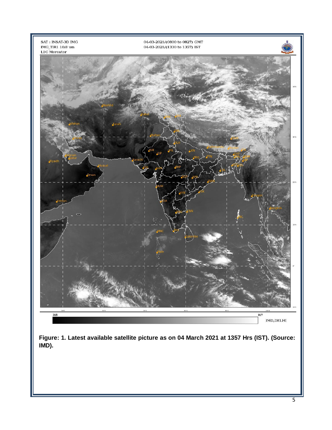

**Figure: 1. Latest available satellite picture as on 04 March 2021 at 1357 Hrs (IST). (Source: IMD).**